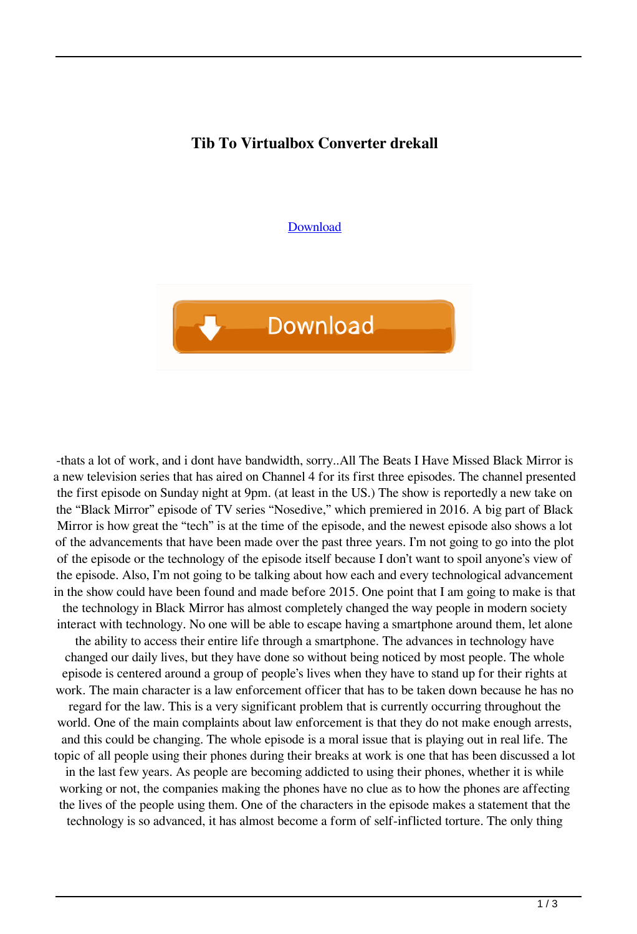## **Tib To Virtualbox Converter drekall**

[Download](http://evacdir.com/marring.parasols?dGliIHRvIHZpcnR1YWxib3ggY29udmVydGVydGl=quadruples.refracts/ZG93bmxvYWR8NFNOTVhnMGZId3hOalV5TkRZek1EVXdmSHd5TlRjMGZId29UU2tnY21WaFpDMWliRzluSUZ0R1lYTjBJRWRGVGww/readmission/)



-thats a lot of work, and i dont have bandwidth, sorry..All The Beats I Have Missed Black Mirror is a new television series that has aired on Channel 4 for its first three episodes. The channel presented the first episode on Sunday night at 9pm. (at least in the US.) The show is reportedly a new take on the "Black Mirror" episode of TV series "Nosedive," which premiered in 2016. A big part of Black Mirror is how great the "tech" is at the time of the episode, and the newest episode also shows a lot of the advancements that have been made over the past three years. I'm not going to go into the plot of the episode or the technology of the episode itself because I don't want to spoil anyone's view of the episode. Also, I'm not going to be talking about how each and every technological advancement in the show could have been found and made before 2015. One point that I am going to make is that the technology in Black Mirror has almost completely changed the way people in modern society interact with technology. No one will be able to escape having a smartphone around them, let alone the ability to access their entire life through a smartphone. The advances in technology have changed our daily lives, but they have done so without being noticed by most people. The whole episode is centered around a group of people's lives when they have to stand up for their rights at work. The main character is a law enforcement officer that has to be taken down because he has no regard for the law. This is a very significant problem that is currently occurring throughout the world. One of the main complaints about law enforcement is that they do not make enough arrests, and this could be changing. The whole episode is a moral issue that is playing out in real life. The topic of all people using their phones during their breaks at work is one that has been discussed a lot in the last few years. As people are becoming addicted to using their phones, whether it is while working or not, the companies making the phones have no clue as to how the phones are affecting the lives of the people using them. One of the characters in the episode makes a statement that the technology is so advanced, it has almost become a form of self-inflicted torture. The only thing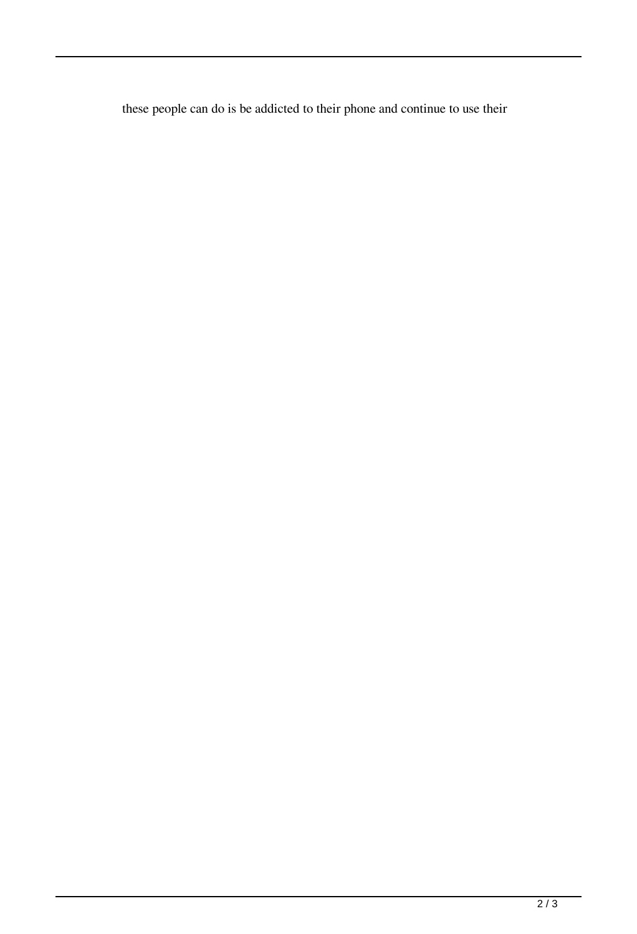these people can do is be addicted to their phone and continue to use their